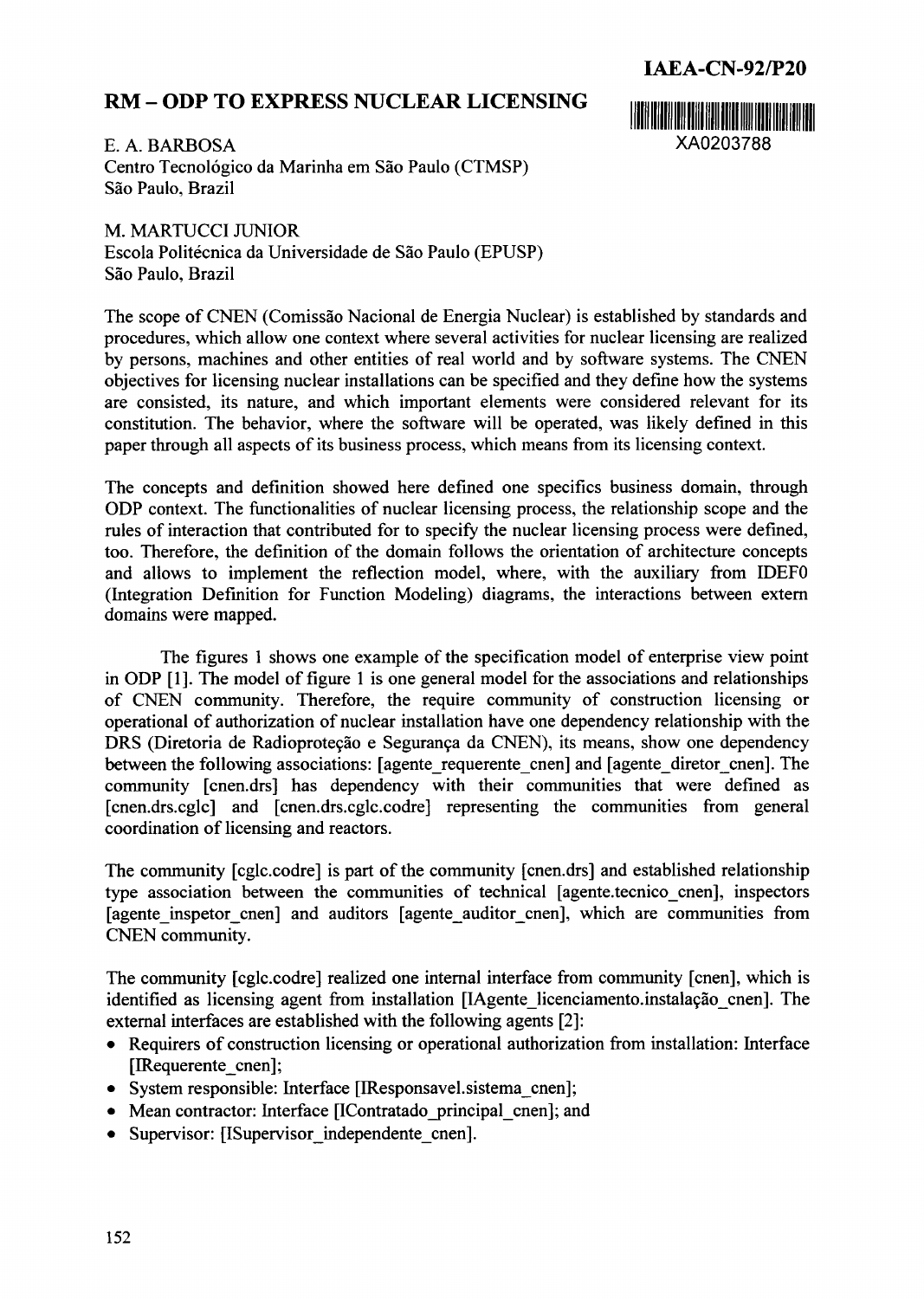## **IAEA-CN-92/P20**

## **RM-ODP TO EXPRESS NUCLEAR LICENSING**

E. A. BARBOSA XA0203788 Centro Tecnológico da Marinha em São Paulo (CTMSP) São Paulo, Brazil

M. MARTUCC1 JUNIOR Escola Politécnica da Universidade de São Paulo (EPUSP) São Paulo, Brazil

The scope of CNEN (Comissão Nacional de Energia Nuclear) is established by standards and procedures, which allow one context where several activities for nuclear licensing are realized by persons, machines and other entities of real world and by software systems. The CNEN objectives for licensing nuclear installations can be specified and they define how the systems are consisted, its nature, and which important elements were considered relevant for its constitution. The behavior, where the software will be operated, was likely defined in this paper through all aspects of its business process, which means from its licensing context.

The concepts and definition showed here defined one specifics business domain, through ODP context. The functionalities of nuclear licensing process, the relationship scope and the rules of interaction that contributed for to specify the nuclear licensing process were defined, too. Therefore, the definition of the domain follows the orientation of architecture concepts and allows to implement the reflection model, where, with the auxiliary from IDEFO (Integration Definition for Function Modeling) diagrams, the interactions between extern domains were mapped.

The figures 1 shows one example of the specification model of enterprise view point in ODP [1]. The model of figure 1 is one general model for the associations and relationships of CNEN community. Therefore, the require community of construction licensing or operational of authorization of nuclear installation have one dependency relationship with the DRS (Diretoria de Radioproteção e Segurança da CNEN), its means, show one dependency between the following associations: [agente-requerente- cnen] and [agente-diretor-cnen]. The community [cnen.drs] has dependency with their communities that were defined as [cnen.drs.cglc] and [cnen.drs.cglc.codre] representing the communities from general coordination of licensing and reactors.

The community [cglc.codre] is part of the community [cnen.drs] and established relationship type association between the communities of technical [agente.tecnico cnen], inspectors [agente inspetor cnen] and auditors [agente auditor cnen], which are communities from CNEN community.

The community [cglc.codre] realized one internal interface from community [cnen], which is identified as licensing agent from installation [IAgente licenciamento.instalação cnen]. The external interfaces are established with the following agents [2]:

- \* Requirers of construction licensing or operational authorization from installation: Interface [IRequerente cnen];
- System responsible: Interface [IResponsavel.sistema cnen];
- Mean contractor: Interface [IContratado principal cnen]; and
- Supervisor: [ISupervisor independente cnen].